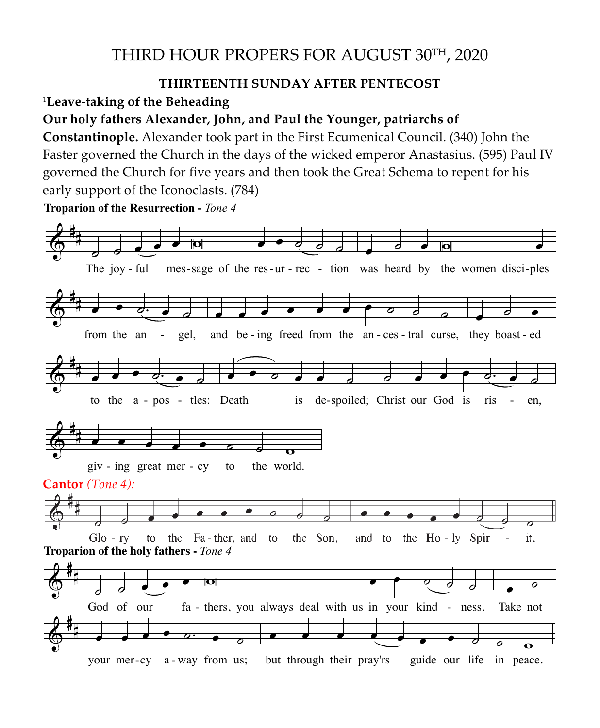## THIRD HOUR PROPERS FOR AUGUST 30TH, 2020

## **THIRTEENTH SUNDAY AFTER PENTECOST**

<sup>1</sup>**Leave-taking of the Beheading** 

## **Our holy fathers Alexander, John, and Paul the Younger, patriarchs of**

**Constantinople.** Alexander took part in the First Ecumenical Council. (340) John the Faster governed the Church in the days of the wicked emperor Anastasius. (595) Paul IV governed the Church for five years and then took the Great Schema to repent for his **Post-festive Day of the Beheading of the Beheading of the Beheading of the Beheading of the Beheading of the Beheading of the Beheading o** o<br>early support of the Iconoclasts. (784)